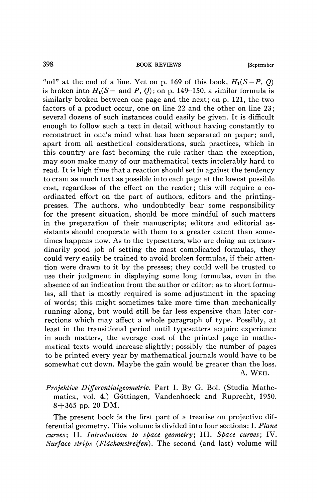"nd" at the end of a line. Yet on p. 169 of this book,  $H_1(S-P, Q)$ is broken into  $H_1(S-$  and  $P, Q)$ ; on p. 149–150, a similar formula is similarly broken between one page and the next; on p. 121, the two factors of a product occur, one on line 22 and the other on line 23; several dozens of such instances could easily be given. It is difficult enough to follow such a text in detail without having constantly to reconstruct in one's mind what has been separated on paper; and, apart from all aesthetical considerations, such practices, which in this country are fast becoming the rule rather than the exception, may soon make many of our mathematical texts intolerably hard to read. It is high time that a reaction should set in against the tendency to cram as much text as possible into each page at the lowest possible cost, regardless of the effect on the reader; this will require a coordinated effort on the part of authors, editors and the printingpresses. The authors, who undoubtedly bear some responsibility for the present situation, should be more mindful of such matters in the preparation of their manuscripts; editors and editorial assistants should cooperate with them to a greater extent than sometimes happens now. As to the typesetters, who are doing an extraordinarily good job of setting the most complicated formulas, they could very easily be trained to avoid broken formulas, if their attention were drawn to it by the presses; they could well be trusted to use their judgment in displaying some long formulas, even in the absence of an indication from the author or editor; as to short formulas, all that is mostly required is some adjustment in the spacing of words; this might sometimes take more time than mechanically running along, but would still be far less expensive than later corrections which may affect a whole paragraph of type. Possibly, at least in the transitional period until typesetters acquire experience in such matters, the average cost of the printed page in mathematical texts would increase slightly; possibly the number of pages to be printed every year by mathematical journals would have to be somewhat cut down. Maybe the gain would be greater than the loss. A. WEIL

*Projektive Differentialgeometrie.* Part I. By G. Bol. (Studia Mathematica, vol. 4.) Göttingen, Vandenhoeck and Ruprecht, 1950. 8+365 pp. 20 DM.

The present book is the first part of a treatise on projective differential geometry. This volume is divided into four sections: I. *Plane curves;* II. *Introduction to space geometry*; III. *Space curves;* IV. *Surface strips (Flâchenstreifen)*. The second (and last) volume will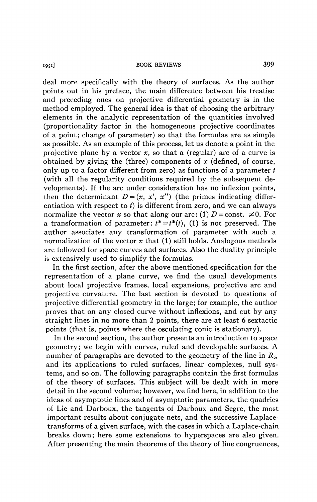**BOOK REVIEWS** 399

deal more specifically with the theory of surfaces. As the author points out in his preface, the main difference between his treatise and preceding ones on projective differential geometry is in the method employed. The general idea is that of choosing the arbitrary elements in the analytic representation of the quantities involved (proportionality factor in the homogeneous projective coordinates of a point; change of parameter) so that the formulas are as simple as possible. As an example of this process, let us denote a point in the projective plane by a vector *x,* so that a (regular) arc of a curve is obtained by giving the (three) components of *x* (defined, of course, only up to a factor different from zero) as functions of a parameter *t*  (with all the regularity conditions required by the subsequent developments). If the arc under consideration has no inflexion points, then the determinant  $D = (x, x', x'')$  (the primes indicating differentiation with respect to  $t$ ) is different from zero, and we can always normalize the vector x so that along our arc: (1)  $D = \text{const.} \neq 0$ . For a transformation of parameter:  $t^* = t^*(t)$ , (1) is not preserved. The author associates any transformation of parameter with such a normalization of the vector *x* that (1) still holds. Analogous methods are followed for space curves and surfaces. Also the duality principle is extensively used to simplify the formulas.

In the first section, after the above mentioned specification for the representation of a plane curve, we find the usual developments about local projective frames, local expansions, projective arc and projective curvature. The last section is devoted to questions of projective differential geometry in the large; for example, the author proves that on any closed curve without inflexions, and cut by any straight lines in no more than 2 points, there are at least 6 sextactic points (that is, points where the osculating conic is stationary).

In the second section, the author presents an introduction to space geometry; we begin with curves, ruled and developable surfaces. A number of paragraphs are devoted to the geometry of the line in  $R_{\delta}$ , and its applications to ruled surfaces, linear complexes, null systems, and so on. The following paragraphs contain the first formulas of the theory of surfaces. This subject will be dealt with in more detail in the second volume; however, we find here, in addition to the ideas of asymptotic lines and of asymptotic parameters, the quadrics of Lie and Darboux, the tangents of Darboux and Segre, the most important results about conjugate nets, and the successive Laplacetransforms of a given surface, with the cases in which a Laplace-chain breaks down; here some extensions to hyperspaces are also given. After presenting the main theorems of the theory of line congruences,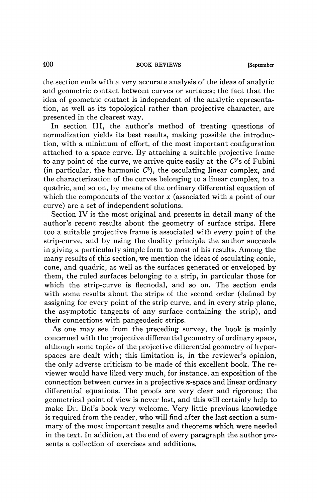## 400 **BOOK REVIEWS [September**

the section ends with a very accurate analysis of the ideas of analytic and geometric contact between curves or surfaces; the fact that the idea of geometric contact is independent of the analytic representation, as well as its topological rather than projective character, are presented in the clearest way.

In section III, the author's method of treating questions of normalization yields its best results, making possible the introduction, with a minimum of effort, of the most important configuration attached to a space curve. By attaching a suitable projective frame to any point of the curve, we arrive quite easily at the  $C^{3}$ 's of Fubini (in particular, the harmonic  $C<sup>3</sup>$ ), the osculating linear complex, and the characterization of the curves belonging to a linear complex, to a quadric, and so on, by means of the ordinary differential equation of which the components of the vector *x* (associated with a point of our curve) are a set of independent solutions.

Section IV is the most original and presents in detail many of the author's recent results about the geometry of surface strips. Here too a suitable projective frame is associated with every point of the strip-curve, and by using the duality principle the author succeeds in giving a particularly simple form to most of his results. Among the many results of this section, we mention the ideas of osculating conic, cone, and quadric, as well as the surfaces generated or enveloped by them, the ruled surfaces belonging to a strip, in particular those for which the strip-curve is flecnodal, and so on. The section ends with some results about the strips of the second order (defined by assigning for every point of the strip curve, and in every strip plane, the asymptotic tangents of any surface containing the strip), and their connections with pangeodesic strips.

As one may see from the preceding survey, the book is mainly concerned with the projective differential geometry of ordinary space, although some topics of the projective differential geometry of hyperspaces are dealt with; this limitation is, in the reviewer's opinion, the only adverse criticism to be made of this excellent book. The reviewer would have liked very much, for instance, an exposition of the connection between curves in a projective  $n$ -space and linear ordinary differential equations. The proofs are very clear and rigorous; the geometrical point of view is never lost, and this will certainly help to make Dr. Bol's book very welcome. Very little previous knowledge is required from the reader, who will find after the last section a summary of the most important results and theorems which were needed in the text. In addition, at the end of every paragraph the author presents a collection of exercises and additions.